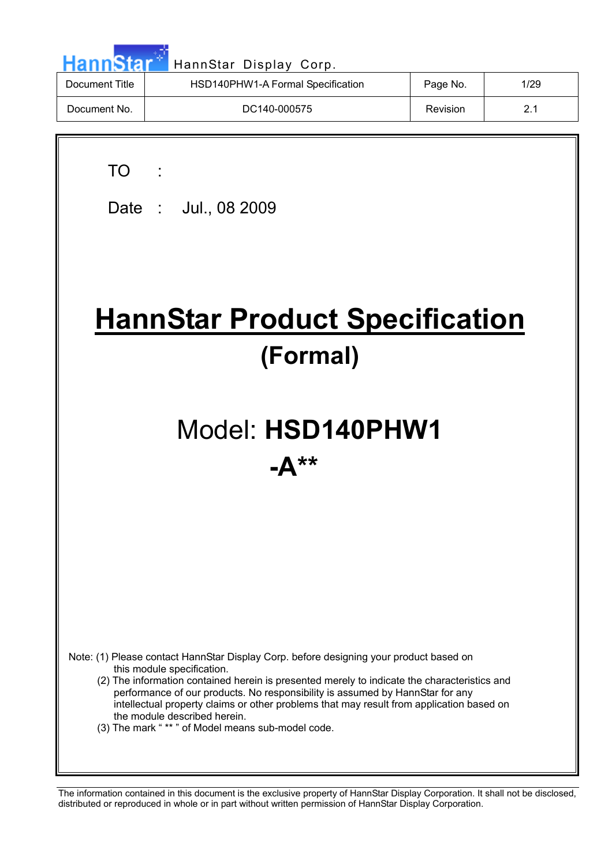| <b>HannStar</b> | HannStar Display Corp.            |          |      |
|-----------------|-----------------------------------|----------|------|
| Document Title  | HSD140PHW1-A Formal Specification | Page No. | 1/29 |
| Document No.    | DC140-000575                      | Revision | 2.1  |
|                 |                                   |          |      |

TO :

 $\overline{\phantom{a}}$ 

Date : Jul., 08 2009

# **HannStar Product Specification (Formal)**

# Model: **HSD140PHW1 -A\*\***

Note: (1) Please contact HannStar Display Corp. before designing your product based on this module specification.

- (2) The information contained herein is presented merely to indicate the characteristics and performance of our products. No responsibility is assumed by HannStar for any intellectual property claims or other problems that may result from application based on the module described herein.
- (3) The mark " \*\* " of Model means sub-model code.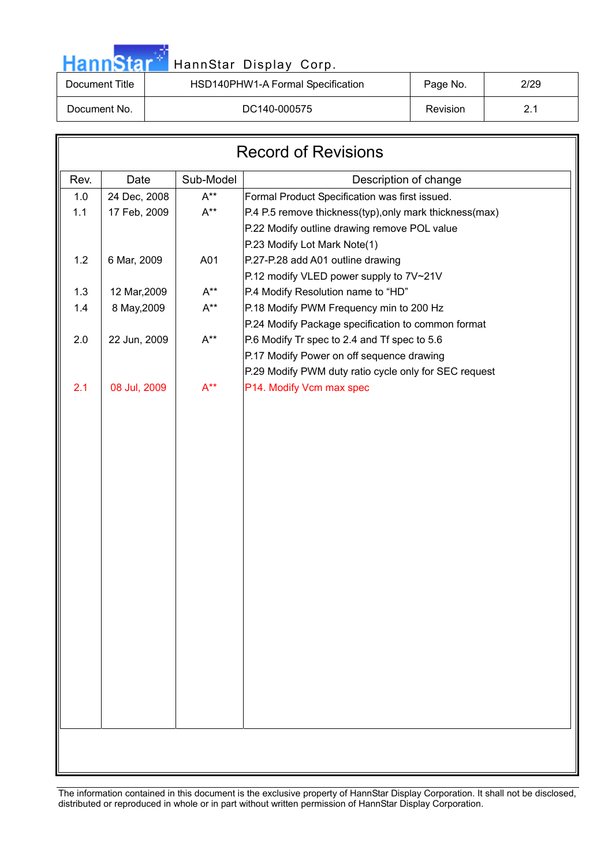# HannStar<sup>t HannStar Display Corp.</sup> 2006. 2007.

| Document Title | HSD140PHW1-A Formal Specification | Page No. | 2/29 |
|----------------|-----------------------------------|----------|------|
| Document No.   | DC140-000575                      | Revision | 2.1  |
|                |                                   |          |      |

| <b>Record of Revisions</b> |              |           |                                                          |  |  |  |
|----------------------------|--------------|-----------|----------------------------------------------------------|--|--|--|
| Rev.                       | Date         | Sub-Model | Description of change                                    |  |  |  |
| 1.0                        | 24 Dec, 2008 | $A^{**}$  | Formal Product Specification was first issued.           |  |  |  |
| 1.1                        | 17 Feb, 2009 | $A^{**}$  | P.4 P.5 remove thickness(typ), only mark thickness (max) |  |  |  |
|                            |              |           | P.22 Modify outline drawing remove POL value             |  |  |  |
|                            |              |           | P.23 Modify Lot Mark Note(1)                             |  |  |  |
| 1.2                        | 6 Mar, 2009  | A01       | P.27-P.28 add A01 outline drawing                        |  |  |  |
|                            |              |           | P.12 modify VLED power supply to 7V~21V                  |  |  |  |
| 1.3                        | 12 Mar, 2009 | $A^{**}$  | P.4 Modify Resolution name to "HD"                       |  |  |  |
| 1.4                        | 8 May, 2009  | $A^{**}$  | P.18 Modify PWM Frequency min to 200 Hz                  |  |  |  |
|                            |              |           | P.24 Modify Package specification to common format       |  |  |  |
| 2.0                        | 22 Jun, 2009 | $A^{**}$  | P.6 Modify Tr spec to 2.4 and Tf spec to 5.6             |  |  |  |
|                            |              |           | P.17 Modify Power on off sequence drawing                |  |  |  |
|                            |              |           | P.29 Modify PWM duty ratio cycle only for SEC request    |  |  |  |
| 2.1                        | 08 Jul, 2009 | $A^{**}$  | P14. Modify Vcm max spec                                 |  |  |  |
|                            |              |           |                                                          |  |  |  |
|                            |              |           |                                                          |  |  |  |
|                            |              |           |                                                          |  |  |  |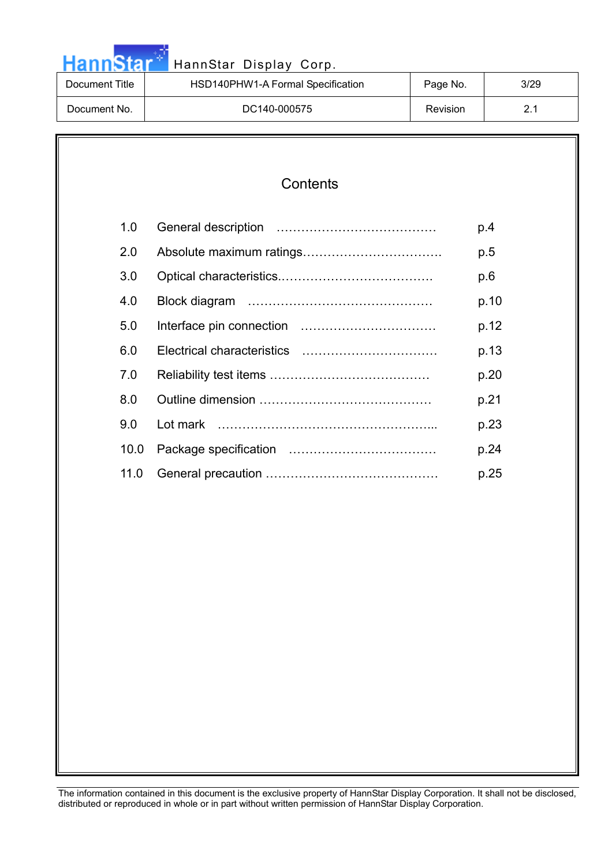| HannStar       | HannStar Display Corp.            |                 |      |
|----------------|-----------------------------------|-----------------|------|
| Document Title | HSD140PHW1-A Formal Specification | Page No.        | 3/29 |
| Document No.   | DC140-000575                      | <b>Revision</b> | 2.1  |

والمرادي

| 1.0  | p.4  |
|------|------|
| 2.0  | p.5  |
| 3.0  | p.6  |
| 4.0  | p.10 |
| 5.0  | p.12 |
| 6.0  | p.13 |
| 7.0  | p.20 |
| 8.0  | p.21 |
| 9.0  | p.23 |
| 10.0 | p.24 |
| 11.0 | p.25 |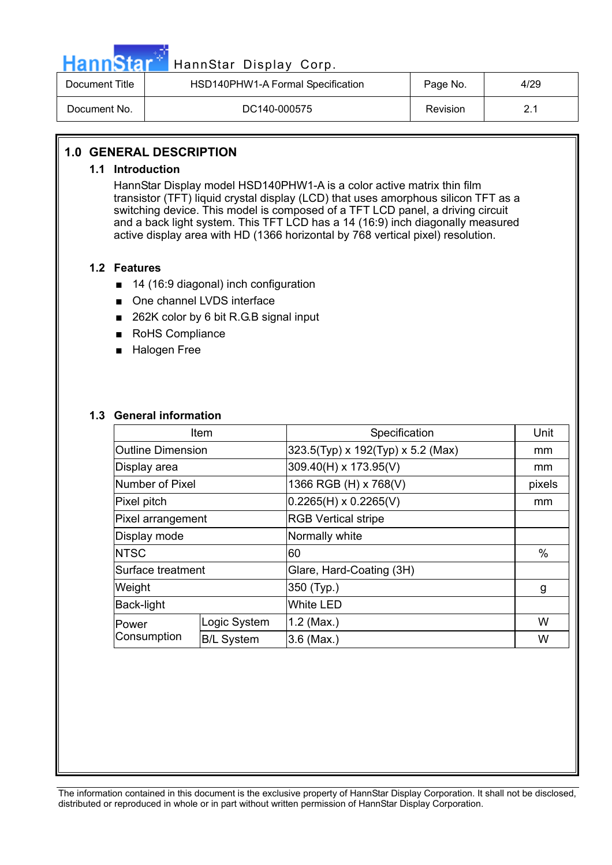

## HannStar<sup>57</sup> HannStar Display Corp.

| Document Title | HSD140PHW1-A Formal Specification | Page No. | 4/29 |
|----------------|-----------------------------------|----------|------|
| Document No.   | DC140-000575                      | Revision |      |

#### **1.0 GENERAL DESCRIPTION**

#### **1.1 Introduction**

HannStar Display model HSD140PHW1-A is a color active matrix thin film transistor (TFT) liquid crystal display (LCD) that uses amorphous silicon TFT as a switching device. This model is composed of a TFT LCD panel, a driving circuit and a back light system. This TFT LCD has a 14 (16:9) inch diagonally measured active display area with HD (1366 horizontal by 768 vertical pixel) resolution.

#### **1.2 Features**

- $\blacksquare$  14 (16:9 diagonal) inch configuration
- One channel LVDS interface
- $\blacksquare$  262K color by 6 bit R.G.B signal input
- RoHS Compliance
- **Halogen Free**

#### **1.3 General information**

| Item                     |                   | Specification                     | Unit   |
|--------------------------|-------------------|-----------------------------------|--------|
| <b>Outline Dimension</b> |                   | 323.5(Typ) x 192(Typ) x 5.2 (Max) | mm     |
| Display area             |                   | 309.40(H) x 173.95(V)             | mm     |
| Number of Pixel          |                   | 1366 RGB (H) x 768(V)             | pixels |
| Pixel pitch              |                   | $0.2265(H) \times 0.2265(V)$      | mm     |
| Pixel arrangement        |                   | <b>RGB Vertical stripe</b>        |        |
| Display mode             |                   | Normally white                    |        |
| <b>NTSC</b>              |                   | 60                                | %      |
| Surface treatment        |                   | Glare, Hard-Coating (3H)          |        |
| Weight                   |                   | 350 (Typ.)                        | g      |
| <b>Back-light</b>        |                   | <b>White LED</b>                  |        |
| Power                    | Logic System      | $1.2$ (Max.)                      | W      |
| Consumption              | <b>B/L System</b> | $3.6$ (Max.)                      | W      |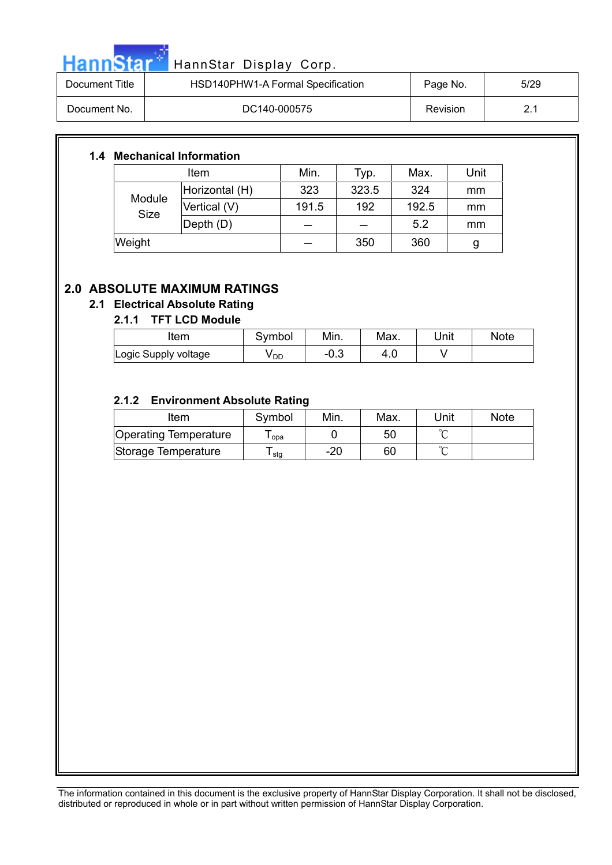

| Document Title | HSD140PHW1-A Formal Specification | Page No. | 5/29 |
|----------------|-----------------------------------|----------|------|
| Document No.   | DC140-000575                      | Revision | າ 1  |

#### **1.4 Mechanical Information**

| Item                  |                | Min.  | Typ.  | Max.  | Unit |
|-----------------------|----------------|-------|-------|-------|------|
|                       | Horizontal (H) | 323   | 323.5 | 324   | mm   |
| Module<br><b>Size</b> | Vertical (V)   | 191.5 | 192   | 192.5 | mm   |
|                       | Depth (D)      |       |       | 5.2   | mm   |
| Weight                |                |       | 350   | 360   | g    |

### **2.0 ABSOLUTE MAXIMUM RATINGS**

#### **2.1 Electrical Absolute Rating**

#### **2.1.1 TFT LCD Module**

| ltem                 | Svmbol | Min. | Max. | Unit | <b>Note</b> |
|----------------------|--------|------|------|------|-------------|
| Logic Supply voltage | V DD   | −∪.ບ |      |      |             |

#### **2.1.2 Environment Absolute Rating**

| Item                  | Symbol | Min. | Max. | Unit | <b>Note</b> |
|-----------------------|--------|------|------|------|-------------|
| Operating Temperature | opa    |      | 50   |      |             |
| Storage Temperature   | l stg  | -20  | 60   |      |             |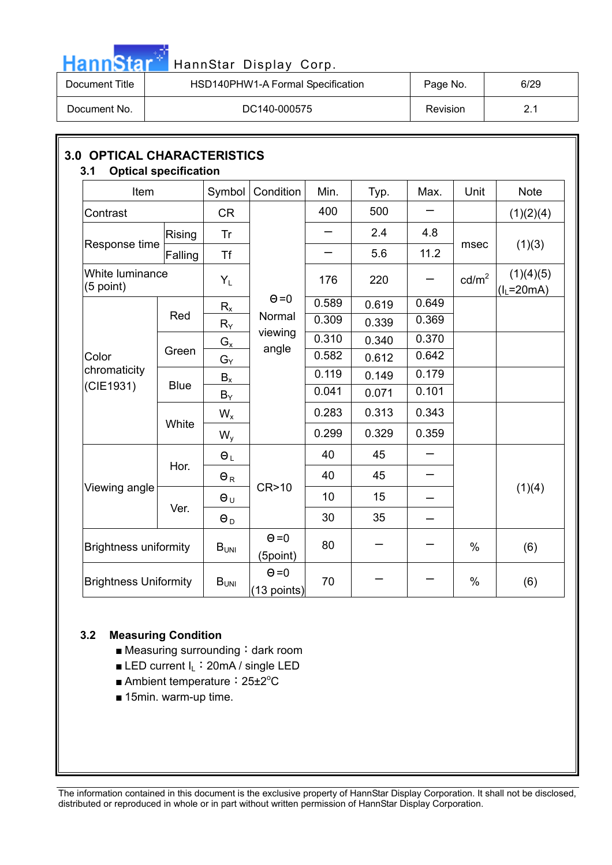| . . |      |  |
|-----|------|--|
|     | nn S |  |

## HannStar Display Corp.

| Document Title | HSD140PHW1-A Formal Specification | Page No.        | 6/29 |
|----------------|-----------------------------------|-----------------|------|
| Document No.   | DC140-000575                      | <b>Revision</b> |      |

| Item                           |               | Symbol     | Condition                   | Min.  | Typ.  | Max.  | Unit              | <b>Note</b>              |
|--------------------------------|---------------|------------|-----------------------------|-------|-------|-------|-------------------|--------------------------|
| Contrast                       |               | <b>CR</b>  |                             | 400   | 500   |       |                   | (1)(2)(4)                |
|                                | <b>Rising</b> | Tr         |                             |       | 2.4   | 4.8   |                   |                          |
| Response time                  | Falling       | Tf         |                             |       | 5.6   | 11.2  | msec              | (1)(3)                   |
| White luminance<br>$(5$ point) |               | $Y_L$      |                             | 176   | 220   |       | cd/m <sup>2</sup> | (1)(4)(5)<br>$(IL=20mA)$ |
|                                |               | $R_{x}$    | $\Theta = 0$                | 0.589 | 0.619 | 0.649 |                   |                          |
|                                | Red           | $R_Y$      | Normal                      | 0.309 | 0.339 | 0.369 |                   |                          |
|                                |               | $G_{x}$    | viewing                     | 0.310 | 0.340 | 0.370 |                   |                          |
| Color                          | Green         | $G_Y$      | angle                       | 0.582 | 0.612 | 0.642 |                   |                          |
| chromaticity                   |               | $B_x$      |                             | 0.119 | 0.149 | 0.179 |                   |                          |
| (CIE1931)                      | <b>Blue</b>   | $B_Y$      |                             | 0.041 | 0.071 | 0.101 |                   |                          |
|                                |               | $W_{x}$    | 0.283                       | 0.313 | 0.343 |       |                   |                          |
|                                | White         | $W_{y}$    |                             | 0.299 | 0.329 | 0.359 |                   |                          |
|                                |               | $\Theta_L$ |                             | 40    | 45    |       |                   |                          |
|                                | Hor.          | $\Theta_R$ |                             | 40    | 45    |       |                   |                          |
| Viewing angle                  |               | $\Theta_U$ | CR>10                       | 10    | 15    |       |                   | (1)(4)                   |
|                                | Ver.          | $\Theta_D$ |                             | 30    | 35    |       |                   |                          |
| <b>Brightness uniformity</b>   |               | $B_{UNI}$  | $\Theta = 0$<br>(5point)    | 80    |       |       | $\frac{0}{0}$     | (6)                      |
| <b>Brightness Uniformity</b>   |               | $B_{UNI}$  | $\Theta = 0$<br>(13 points) | 70    |       |       | %                 | (6)                      |

#### **3.2 Measuring Condition**

- $\blacksquare$  Measuring surrounding: dark room
- **E** LED current  $I_L$ : 20mA / single LED
- Ambient temperature: 25±2°C
- $\blacksquare$  15min. warm-up time.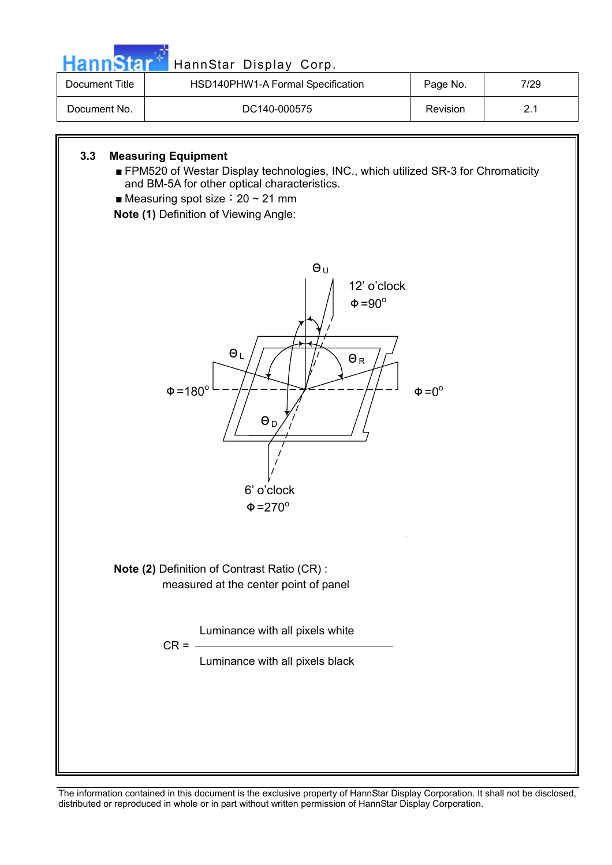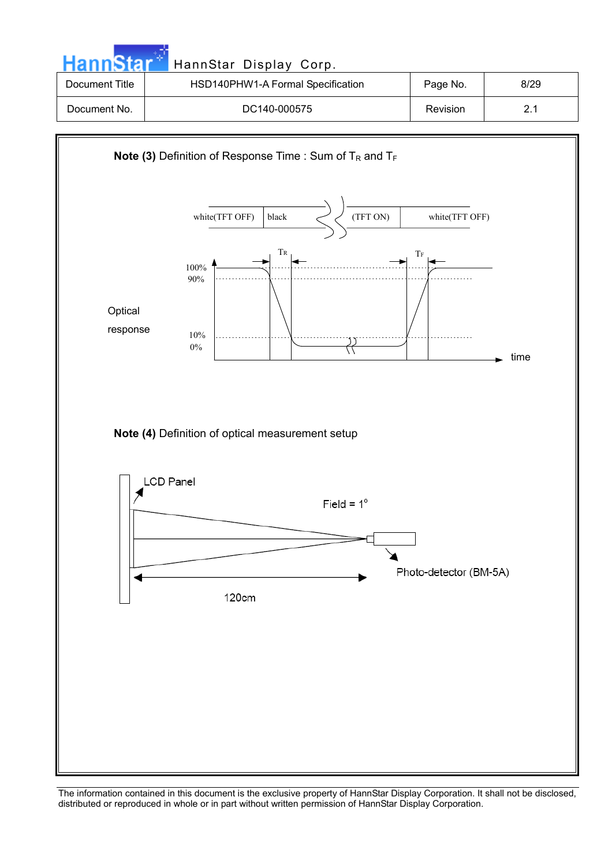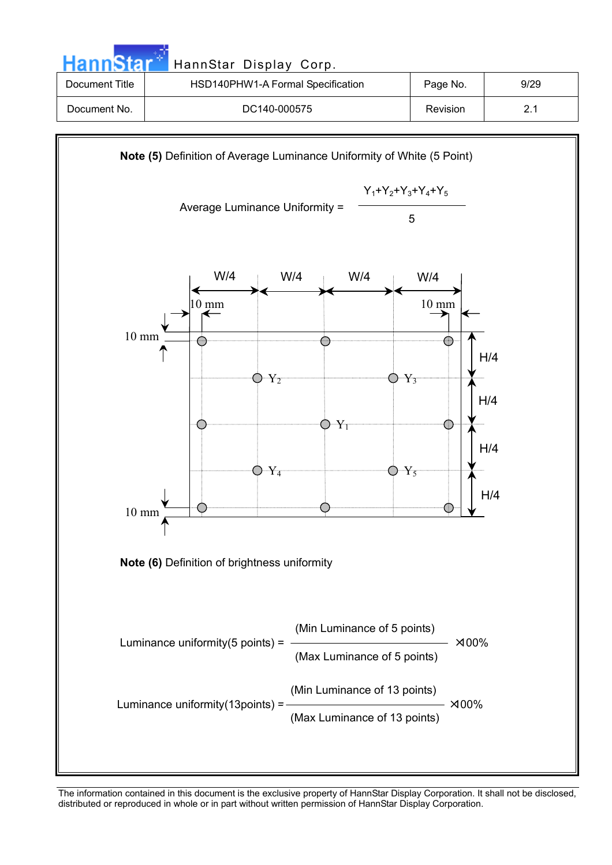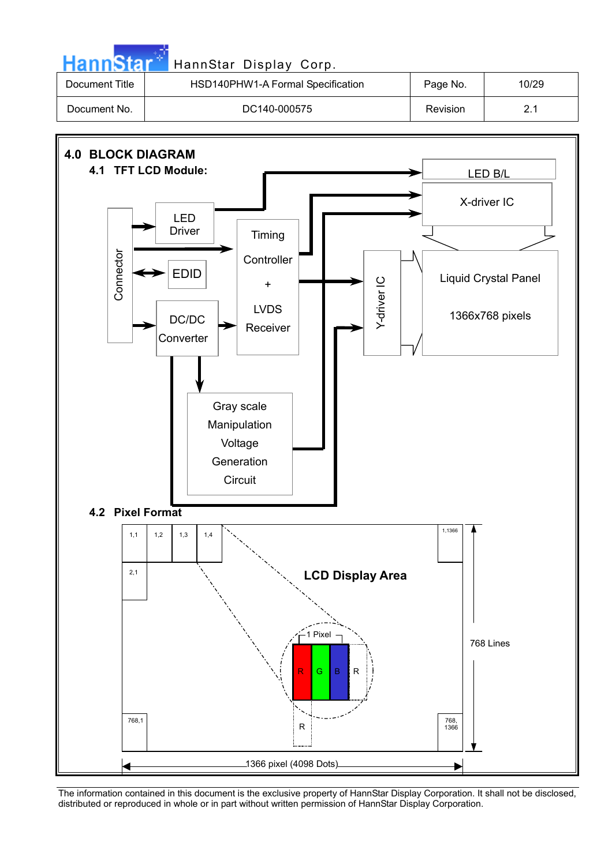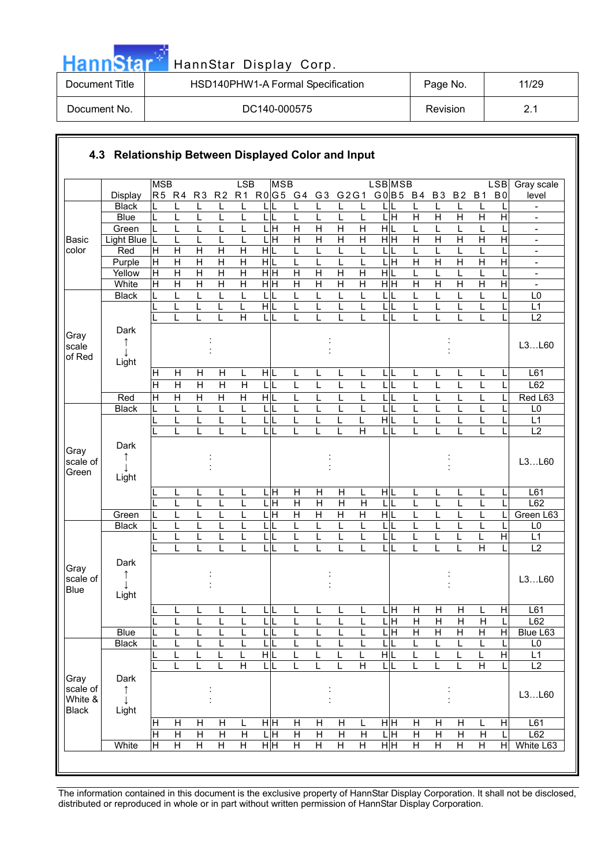| <b>HannStar</b> | HannStar Display Corp.            |          |       |
|-----------------|-----------------------------------|----------|-------|
| Document Title  | HSD140PHW1-A Formal Specification | Page No. | 11/29 |
| Document No.    | DC140-000575                      | Revision | 2.1   |

a mata

|                         |                          | <b>MSB</b>              |                              |                   |                              | LSB                     | <b>MSB</b>              |                         |                         |                     |                         | LSB MSB                       |                     |                     |                                  |                         | <b>LSB</b>     | Gray scale                                           |
|-------------------------|--------------------------|-------------------------|------------------------------|-------------------|------------------------------|-------------------------|-------------------------|-------------------------|-------------------------|---------------------|-------------------------|-------------------------------|---------------------|---------------------|----------------------------------|-------------------------|----------------|------------------------------------------------------|
|                         | Display                  | R5 R4                   |                              | R <sub>3</sub>    | R <sub>2</sub>               | R1                      | $R0$ G5 G4              |                         | G <sub>3</sub>          | G2G1                |                         | G0 B5 B4                      |                     | <b>B3</b>           | <b>B2</b>                        | <b>B1</b>               | B <sub>0</sub> | level                                                |
|                         | <b>Black</b>             |                         |                              | L                 |                              |                         |                         |                         |                         |                     | L                       |                               |                     | L                   | L                                |                         |                |                                                      |
|                         | <b>Blue</b>              | L                       | L                            | L                 |                              | L                       | L                       | L                       |                         | L                   | L                       | Ξ<br>L                        | $\overline{H}$      | $\overline{H}$      | $\overline{\mathsf{H}}$          | H                       | Η              |                                                      |
|                         | Green                    |                         |                              | L                 |                              |                         | $\frac{1}{\text{H}}$    | $\overline{H}$          | $\overline{H}$          | $\overline{H}$      | $\overline{H}$          | H L                           | L                   | L                   | L                                |                         | Η              | $\blacksquare$                                       |
| <b>Basic</b><br>color   | <b>Light Blue</b><br>Red | L<br>Н                  | L<br>$\mathsf{H}$            | L<br>$\mathsf{H}$ | H                            | L<br>н                  | Η<br>HIL                | $\overline{H}$<br>L     | $\overline{H}$<br>L     | $\mathsf{H}$        | $\overline{H}$<br>L     | $\overline{H}$ H<br>L         | $\overline{H}$<br>L | Η<br>L              | $\overline{H}$<br>L              | $\overline{H}$          |                | $\overline{\phantom{a}}$                             |
|                         | Purple                   | $\mathsf{H}$            | $\overline{H}$               | $\overline{H}$    | $\overline{H}$               | $\overline{\mathsf{H}}$ | $\frac{1}{\sqrt{2}}$    | L                       |                         |                     | L                       | L<br>Ξ                        | $\overline{H}$      | $\overline{H}$      | $\overline{H}$                   | H                       | $\overline{H}$ | $\overline{\phantom{a}}$<br>$\overline{\phantom{a}}$ |
|                         | Yellow                   | $\mathsf{H}$            | $\overline{H}$               | $\overline{H}$    | $\overline{\mathsf{H}}$      | $\overline{\mathsf{H}}$ | $\frac{}{\overline{H}}$ | $\overline{H}$          | $\overline{H}$          | $\overline{H}$      | $\overline{H}$          | H L                           | L                   | L                   | L                                | L                       |                | $\overline{\phantom{a}}$                             |
|                         | White                    | H                       | $\overline{H}$               | $\overline{H}$    | $\overline{H}$               | $\overline{\mathsf{H}}$ | $\frac{}{\overline{H}}$ | $\overline{H}$          | $\overline{\mathsf{H}}$ | $\overline{H}$      | $\overline{H}$          | $\overline{\overline{H}}$     | $\overline{H}$      | $\overline{H}$      | $\overline{H}$                   | $\overline{H}$          | $\overline{H}$ | $\overline{\phantom{a}}$                             |
|                         | <b>Black</b>             |                         | L                            | L                 | L                            | L                       | LЩ                      | L                       | L                       | L                   | L                       | L                             | Г                   | L                   | L                                | L                       |                | L <sub>0</sub>                                       |
|                         |                          |                         | L                            | L                 | L                            | L                       | H L                     | L                       | L                       | L                   | L                       | L<br>L                        | L                   | L                   | L                                | L                       |                | L1                                                   |
|                         |                          |                         | L                            | L                 |                              | $\overline{H}$          | ЦL                      | L                       | L                       |                     | L                       | L<br>L                        | L                   |                     | L                                | L                       |                | $\overline{L2}$                                      |
| Gray                    | Dark                     |                         |                              |                   |                              |                         |                         |                         |                         |                     |                         |                               |                     |                     |                                  |                         |                |                                                      |
| scale                   | ↑                        |                         |                              |                   |                              |                         |                         |                         |                         |                     |                         |                               |                     |                     |                                  |                         |                | L3L60                                                |
| of Red                  | T<br>Light               |                         |                              |                   |                              |                         |                         |                         |                         |                     |                         |                               |                     |                     |                                  |                         |                |                                                      |
|                         |                          | H                       | H                            | H                 | Н                            | L                       | H L                     | L                       |                         |                     | L                       | L<br>IL                       | L                   | L                   | L                                | L                       |                | L61                                                  |
|                         |                          | $\overline{H}$          | $\overline{H}$               | $\overline{H}$    | $\overline{H}$               | $\overline{H}$          | LIL                     | L                       | L                       |                     | L                       | L                             | L                   | L                   | L                                | L                       |                | L62                                                  |
|                         | Red                      | $\overline{\mathsf{H}}$ | $\overline{\mathsf{H}}$      | $\overline{H}$    | Ή                            | $\overline{\mathsf{H}}$ | H L                     | L                       | L                       |                     | L                       | L                             | L                   | L                   | L                                | L                       |                | Red L63                                              |
|                         | <b>Black</b>             | L                       | L                            | L                 | L                            | L                       | LIL                     | L                       | L                       | L                   | L                       | L<br>L                        | L                   | L                   | L                                | L                       |                | L <sub>0</sub>                                       |
|                         |                          |                         | L                            | L                 |                              | L                       | $\mathsf{L}$            | L                       | L                       | L                   | L                       | $\overline{H}$                | L                   | L                   | L                                | L                       |                | L1                                                   |
|                         |                          |                         | L                            | L                 |                              |                         | $\mathsf{L}$            | L                       |                         |                     | Η                       | L                             | L                   |                     | L                                |                         |                | L2                                                   |
|                         | Dark                     |                         |                              |                   |                              |                         |                         |                         |                         |                     |                         |                               |                     |                     |                                  |                         |                |                                                      |
| Gray<br>scale of        | ↑                        |                         |                              |                   |                              |                         |                         |                         |                         |                     |                         |                               |                     |                     |                                  |                         |                | L3L60                                                |
| Green                   |                          |                         |                              |                   |                              |                         |                         |                         |                         |                     |                         |                               |                     |                     |                                  |                         |                |                                                      |
|                         | Light                    |                         |                              |                   |                              |                         |                         |                         |                         |                     |                         |                               |                     |                     |                                  |                         |                |                                                      |
|                         |                          |                         | L                            | L                 |                              | L                       | . н                     | $\mathsf{H}$            | Н                       | Н                   | L                       | HIL                           | L                   | L                   | L                                | L                       | L              | L61                                                  |
|                         |                          |                         | L                            | L                 |                              |                         | Ε                       | $\overline{H}$          | $\overline{H}$          | $\mathsf{H}$        | $\mathsf{H}$            | L                             | L                   | L                   | L                                |                         |                | L62                                                  |
|                         | Green<br><b>Black</b>    |                         |                              | L<br>L            |                              |                         | $\overline{H}$<br>L     | $\overline{H}$<br>L     | $\overline{H}$          | $\overline{H}$      | $\overline{H}$<br>Ĺ     | H L<br>L                      | L<br>L              |                     | L<br>L                           |                         |                | Green L63<br>L <sub>0</sub>                          |
|                         |                          |                         |                              | L                 |                              |                         | L                       | L                       |                         |                     | L                       | Г<br>L<br>$\mathsf{L}$        |                     |                     | L                                |                         | $\overline{H}$ | L1                                                   |
|                         |                          |                         | L                            | L                 |                              |                         | $\mathsf{L}$            | L                       | L                       | L                   | L                       | L                             | L                   | L                   | L                                | Η                       |                | $\overline{L2}$                                      |
|                         | Dark                     |                         |                              |                   |                              |                         |                         |                         |                         |                     |                         |                               |                     |                     |                                  |                         |                |                                                      |
| Gray                    | ↑                        |                         |                              |                   |                              |                         |                         |                         |                         |                     |                         |                               |                     |                     |                                  |                         |                |                                                      |
| scale of                |                          |                         |                              |                   |                              |                         |                         |                         |                         |                     |                         |                               |                     |                     |                                  |                         |                | L3L60                                                |
| <b>Blue</b>             | Light                    |                         |                              |                   |                              |                         |                         |                         |                         |                     |                         |                               |                     |                     |                                  |                         |                |                                                      |
|                         |                          |                         |                              |                   | ш                            | ш                       |                         |                         |                         |                     |                         | LН                            | $\overline{H}$      | H                   | $\mathsf{H}$                     |                         | H              | L61                                                  |
|                         |                          |                         | <u>_</u><br>L                | ┕<br>L            | L                            | L                       | ь.<br>LIL               | щ<br>L                  | L                       | ┕<br>L              | L                       | ЦH                            | $\mathsf{H}$        | $\mathsf{H}$        | $\mathsf{H}$                     | ь<br>$\mathsf{H}$       | L              | L62                                                  |
|                         | <b>Blue</b>              |                         | L                            | L                 | L                            | L                       | LIL                     | L                       |                         | L                   | L                       | $\overline{\mathsf{H}}$<br>L  | $\overline{H}$      | $\overline{H}$      | $\overline{H}$                   | Н                       | $\mathsf{H}$   | Blue L63                                             |
|                         | <b>Black</b>             |                         | L                            | L                 |                              | L                       | L L                     | L                       |                         |                     | L                       | L                             | L                   | L                   | L                                |                         | L              | L <sub>0</sub>                                       |
|                         |                          |                         | L                            | L                 | L                            | L                       | H L                     | L                       | L                       | L                   | L                       | $\overline{H L}$              | L                   | L                   | L                                | L                       | $\overline{H}$ | L1                                                   |
|                         |                          |                         | L                            | L                 | L                            | $\overline{\mathsf{H}}$ | LL                      | L                       | L                       | L                   | $\overline{\mathsf{H}}$ | L L                           | L                   | L                   | L                                | $\overline{H}$          | L              | L2                                                   |
| Gray                    | Dark                     |                         |                              |                   |                              |                         |                         |                         |                         |                     |                         |                               |                     |                     |                                  |                         |                |                                                      |
| scale of                | ↑                        |                         |                              |                   |                              |                         |                         |                         |                         |                     |                         |                               |                     |                     |                                  |                         |                | L3L60                                                |
| White &<br><b>Black</b> | Light                    |                         |                              |                   |                              |                         |                         |                         |                         |                     |                         |                               |                     |                     |                                  |                         |                |                                                      |
|                         |                          |                         |                              | $\overline{H}$    |                              |                         |                         | $\overline{H}$          | $\overline{H}$          |                     |                         |                               |                     |                     |                                  |                         |                |                                                      |
|                         |                          | Η<br>Η                  | Н<br>$\overline{\mathsf{H}}$ | $\overline{H}$    | H<br>$\overline{\mathsf{H}}$ | L<br>Ξ                  | H H<br>ЦH               | $\overline{\mathsf{H}}$ | Η                       | Н<br>$\overline{H}$ | L<br>$\overline{H}$     | $\frac{}{\overline{H}}$<br>LН | Η<br>Η              | Η<br>$\overline{H}$ | $\overline{H}$<br>$\overline{H}$ | L<br>$\overline{H}$     | H              | L61<br>L62                                           |
|                         | White                    | Η                       | $\overline{H}$               | $\overline{H}$    | Ή                            | $\overline{\mathsf{H}}$ | H H                     | $\overline{\mathsf{H}}$ | $\overline{H}$          | $\overline{H}$      | $\overline{\mathsf{H}}$ | H H                           | Ξ                   | $\overline{H}$      | $\overline{H}$                   | $\overline{\mathsf{H}}$ | Ξ              | White L63                                            |
|                         |                          |                         |                              |                   |                              |                         |                         |                         |                         |                     |                         |                               |                     |                     |                                  |                         |                |                                                      |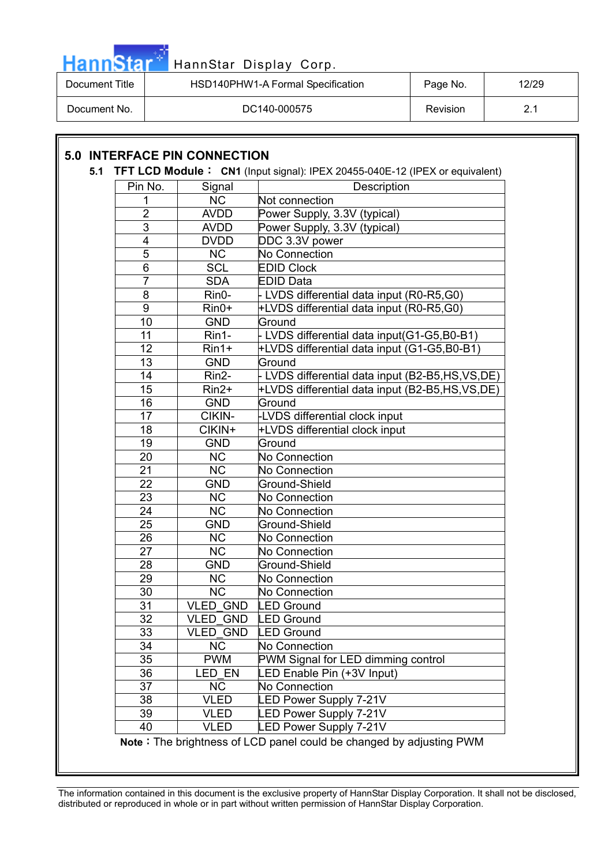

| Document Title | HSD140PHW1-A Formal Specification | Page No.        | 12/29 |
|----------------|-----------------------------------|-----------------|-------|
| Document No.   | DC140-000575                      | <b>Revision</b> |       |

### **5.0 INTERFACE PIN CONNECTION**

#### **5.1 TFT LCD Module: CN1** (Input signal): IPEX 20455-040E-12 (IPEX or equivalent)

| Pin No.         | Signal                 | Description                                                         |
|-----------------|------------------------|---------------------------------------------------------------------|
| 1               | $\overline{\text{NC}}$ | Not connection                                                      |
| $\overline{2}$  | <b>AVDD</b>            | Power Supply, 3.3V (typical)                                        |
| $\overline{3}$  | <b>AVDD</b>            | Power Supply, 3.3V (typical)                                        |
| 4               | <b>DVDD</b>            | DDC 3.3V power                                                      |
| $\overline{5}$  | <b>NC</b>              | No Connection                                                       |
| 6               | <b>SCL</b>             | <b>EDID Clock</b>                                                   |
| $\overline{7}$  | <b>SDA</b>             | <b>EDID Data</b>                                                    |
| 8               | Rin0-                  | - LVDS differential data input (R0-R5,G0)                           |
| $\overline{9}$  | $Rin0+$                | +LVDS differential data input (R0-R5,G0)                            |
| 10              | <b>GND</b>             | Ground                                                              |
| 11              | Rin1-                  | - LVDS differential data input(G1-G5,B0-B1)                         |
| 12              | $Rin1+$                | +LVDS differential data input (G1-G5,B0-B1)                         |
| 13              | <b>GND</b>             | Ground                                                              |
| 14              | Rin2-                  | - LVDS differential data input (B2-B5,HS,VS,DE)                     |
| 15              | Rin2+                  | +LVDS differential data input (B2-B5,HS,VS,DE)                      |
| 16              | <b>GND</b>             | Ground                                                              |
| 17              | CIKIN-                 | -LVDS differential clock input                                      |
| 18              | CIKIN+                 | +LVDS differential clock input                                      |
| 19              | <b>GND</b>             | Ground                                                              |
| 20              | <b>NC</b>              | No Connection                                                       |
| 21              | <b>NC</b>              | <b>No Connection</b>                                                |
| 22              | <b>GND</b>             | Ground-Shield                                                       |
| 23              | <b>NC</b>              | <b>No Connection</b>                                                |
| $\overline{2}4$ | $\overline{\text{NC}}$ | <b>No Connection</b>                                                |
| 25              | <b>GND</b>             | Ground-Shield                                                       |
| 26              | <b>NC</b>              | <b>No Connection</b>                                                |
| 27              | <b>NC</b>              | <b>No Connection</b>                                                |
| 28              | <b>GND</b>             | Ground-Shield                                                       |
| 29              | <b>NC</b>              | <b>No Connection</b>                                                |
| 30              | <b>NC</b>              | <b>No Connection</b>                                                |
| 31              | <b>VLED GND</b>        | <b>LED Ground</b>                                                   |
| 32              | <b>VLED GND</b>        | <b>LED Ground</b>                                                   |
| 33              | <b>VLED GND</b>        | <b>LED Ground</b>                                                   |
| 34              | <b>NC</b>              | No Connection                                                       |
| 35              | <b>PWM</b>             | PWM Signal for LED dimming control                                  |
| 36              | LED EN                 | LED Enable Pin (+3V Input)                                          |
| 37              | <b>NC</b>              | No Connection                                                       |
| 38              | <b>VLED</b>            | <b>LED Power Supply 7-21V</b>                                       |
| 39              | <b>VLED</b>            | <b>LED Power Supply 7-21V</b>                                       |
| 40              | <b>VLED</b>            | <b>LED Power Supply 7-21V</b>                                       |
|                 |                        | Note: The brightness of LCD panel could be changed by adjusting PWM |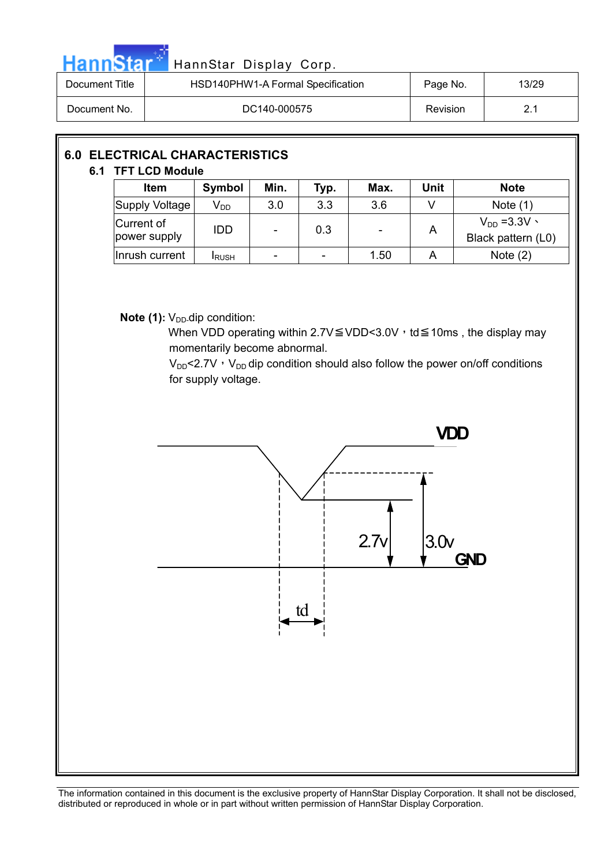|--|

### HannStar Display Corp.

| Document Title | HSD140PHW1-A Formal Specification | Page No.        | 13/29 |
|----------------|-----------------------------------|-----------------|-------|
| Document No.   | DC140-000575                      | <b>Revision</b> | 2.1   |

|  | <b>6.0 ELECTRICAL CHARACTERISTICS</b><br>6.1 TFT LCD Module |               |                          |      |      |      |                                       |
|--|-------------------------------------------------------------|---------------|--------------------------|------|------|------|---------------------------------------|
|  | <b>Item</b>                                                 | Symbol        | Min.                     | Typ. | Max. | Unit | <b>Note</b>                           |
|  | Supply Voltage                                              | $V_{DD}$      | 3.0                      | 3.3  | 3.6  | V    | Note $(1)$                            |
|  | Current of<br>power supply                                  | <b>IDD</b>    | $\overline{\phantom{a}}$ | 0.3  | ۰    | A    | $V_{DD} = 3.3V$<br>Black pattern (L0) |
|  | Inrush current                                              | <b>I</b> RUSH |                          |      | 1.50 | Α    | Note $(2)$                            |

**Note (1):** V<sub>DD</sub>-dip condition:

When VDD operating within 2.7V  $\leq$  VDD < 3.0V  $\cdot$  td  $\leq$  10ms, the display may momentarily become abnormal.

 $V_{DD}$ <2.7V,  $V_{DD}$  dip condition should also follow the power on/off conditions for supply voltage.

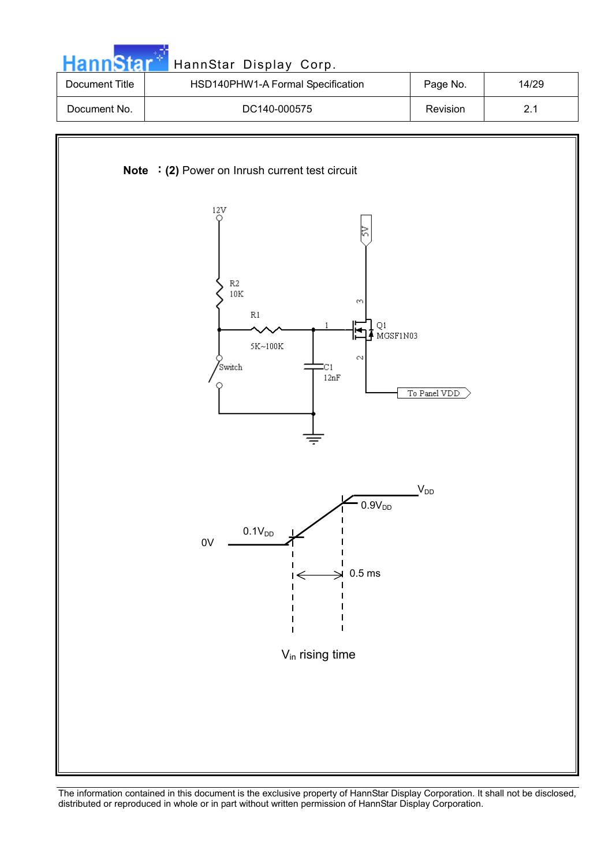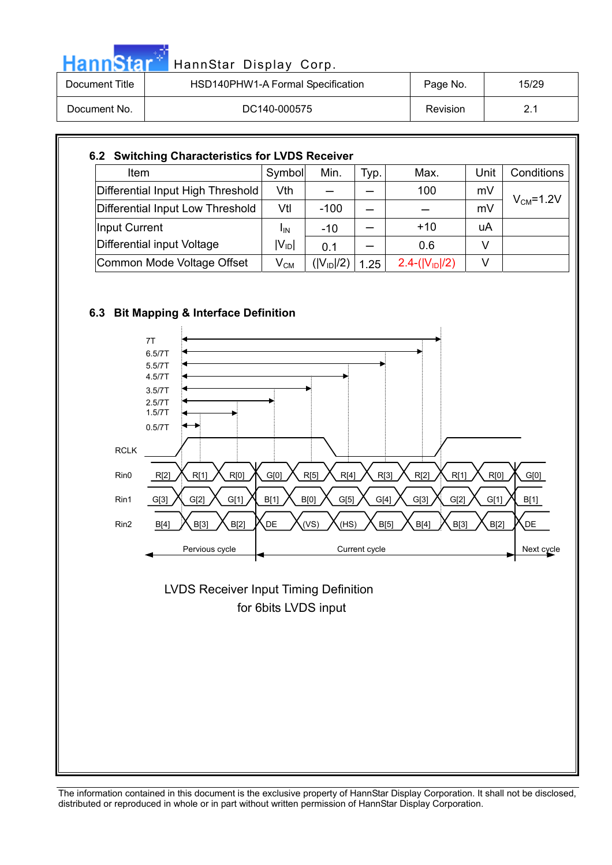| <b>HannStar</b> | HannStar Display Corp.            |          |       |
|-----------------|-----------------------------------|----------|-------|
| Document Title  | HSD140PHW1-A Formal Specification | Page No. | 15/29 |
| Document No.    | DC140-000575                      | Revision | 2.1   |

#### **6.2 Switching Characteristics for LVDS Receiver**  Item Symbol Min. Typ. Max. Unit Conditions Differential Input High Threshold Vth  $-$  100 mV Differential Input Low Threshold | Vtl | -100 |  $-$  |  $-$  | mV  $V_{CM} = 1.2V$ Input Current  $I_{\text{IN}}$   $I_{\text{IN}}$   $-10$   $-1$   $+10$   $\mu$ A Differential input Voltage  $I_{IN}$  $|V_{1D}|$  0.1 - 0.6 | V Common Mode Voltage Offset  $|V_{CM}| (|V_{ID}|/2) | 1.25 | 2.4-(|V_{ID}|/2) | V$

### **6.3 Bit Mapping & Interface Definition**



 for 6bits LVDS input LVDS Receiver Input Timing Definition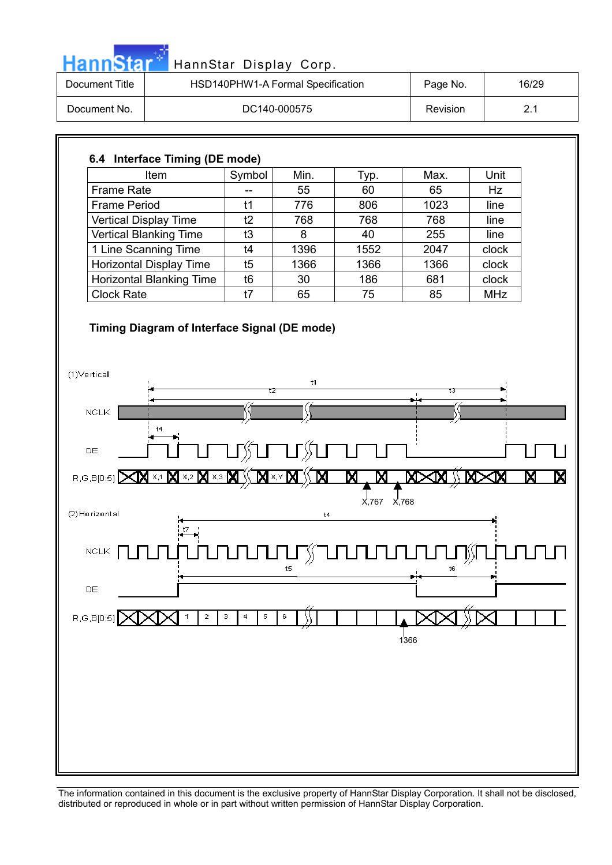|                     |                                 |                                   | HSD140PHW1-A Formal Specification | HannStar Display Corp. | Page No. |            | 16/29 |
|---------------------|---------------------------------|-----------------------------------|-----------------------------------|------------------------|----------|------------|-------|
| Document No.        |                                 | DC140-000575                      |                                   |                        | Revision |            | 2.1   |
|                     |                                 |                                   |                                   |                        |          |            |       |
|                     | 6.4 Interface Timing (DE mode)  |                                   |                                   |                        |          |            |       |
|                     | Item                            | Symbol                            | Min.                              | Typ.                   | Max.     | Unit       |       |
| <b>Frame Rate</b>   |                                 | --                                | 55                                | 60                     | 65       | <b>Hz</b>  |       |
| <b>Frame Period</b> |                                 | t1                                | 776                               | 806                    | 1023     | line       |       |
|                     | Vertical Display Time           | t2                                | 768                               | 768                    | 768      | line       |       |
|                     | Vertical Blanking Time          | t3                                | 8                                 | 40                     | 255      | line       |       |
|                     | 1 Line Scanning Time            | t4                                | 1396                              | 1552                   | 2047     | clock      |       |
|                     | Horizontal Display Time         | t5                                | 1366                              | 1366                   | 1366     | clock      |       |
|                     | <b>Horizontal Blanking Time</b> | t6                                | 30                                | 186                    | 681      | clock      |       |
| <b>Clock Rate</b>   |                                 | t7                                | 65                                | 75                     | 85       | <b>MHz</b> |       |
|                     |                                 |                                   |                                   |                        |          |            |       |
| DE<br>R,G,B[0:5]    | t4<br>X אי× X<br>X,3            |                                   | ௺ <b>௳</b> ௱௴௺௳௱௰                 | Χ                      |          |            |       |
| (2) Horizontal      |                                 |                                   | t4                                | X,767 X,768            |          |            |       |
| ${\tt NCLK}$        | t7                              |                                   |                                   |                        |          |            |       |
| DE                  |                                 |                                   | t5                                |                        | t6       |            |       |
| R, G, B[0:5]        | $\mathbf{2}$                    | 5<br>$_{\rm 3}$<br>$\overline{4}$ | 6                                 |                        | 1366     |            |       |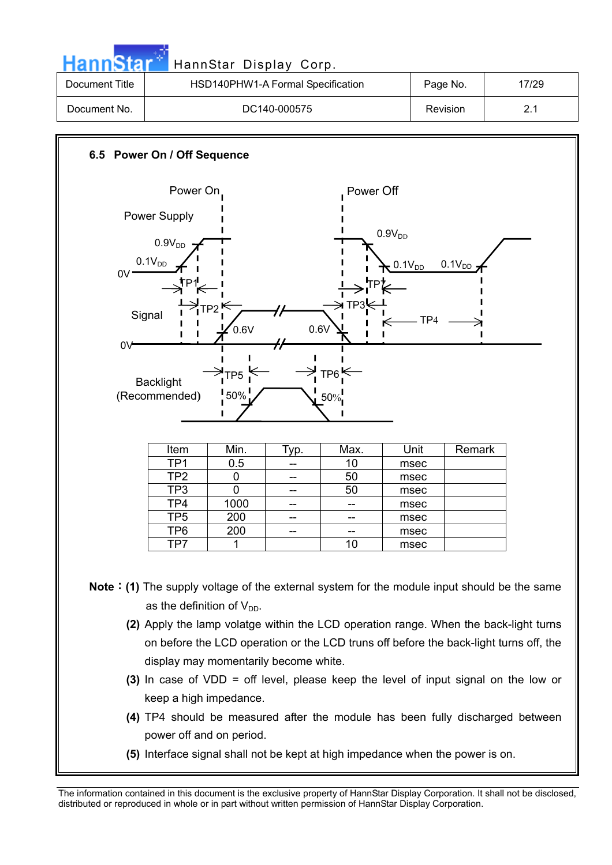| annStar                                                                                                                                                                                                                                                                                                                                                                                                                                                 |                                                                                                                     | HannStar Display Corp.                  |      |                                                   |                                               |             |  |
|---------------------------------------------------------------------------------------------------------------------------------------------------------------------------------------------------------------------------------------------------------------------------------------------------------------------------------------------------------------------------------------------------------------------------------------------------------|---------------------------------------------------------------------------------------------------------------------|-----------------------------------------|------|---------------------------------------------------|-----------------------------------------------|-------------|--|
| <b>Document Title</b>                                                                                                                                                                                                                                                                                                                                                                                                                                   | HSD140PHW1-A Formal Specification                                                                                   |                                         |      |                                                   | Page No.                                      | 17/29       |  |
| Document No.                                                                                                                                                                                                                                                                                                                                                                                                                                            | DC140-000575                                                                                                        |                                         |      |                                                   | Revision                                      | 2.1         |  |
| 6.5 Power On / Off Sequence                                                                                                                                                                                                                                                                                                                                                                                                                             |                                                                                                                     |                                         |      |                                                   |                                               |             |  |
| OV.<br>0V                                                                                                                                                                                                                                                                                                                                                                                                                                               | Power On<br><b>Power Supply</b><br>0.9V <sub>DD</sub><br>$0.1V_{DD}$<br>Signal<br><b>Backlight</b><br>(Recommended) | тр2 Ѥ<br>0.6V<br>TP <sub>5</sub><br>50% | 0.6V | Power Off<br>→ TP3!<br>TP6 <sup>k</sup><br>$50\%$ | $0.9V_{DD}$<br>$0.1V_{DD}$<br>TP <sub>4</sub> | $0.1V_{DD}$ |  |
|                                                                                                                                                                                                                                                                                                                                                                                                                                                         | Item                                                                                                                | Min.                                    | Typ. | Max.                                              | Unit                                          | Remark      |  |
|                                                                                                                                                                                                                                                                                                                                                                                                                                                         | TP1                                                                                                                 | 0.5                                     |      | 10                                                | msec                                          |             |  |
|                                                                                                                                                                                                                                                                                                                                                                                                                                                         | TP <sub>2</sub>                                                                                                     | 0                                       | --   | 50                                                | msec                                          |             |  |
|                                                                                                                                                                                                                                                                                                                                                                                                                                                         | TP3                                                                                                                 | 0                                       | --   | 50                                                | msec                                          |             |  |
|                                                                                                                                                                                                                                                                                                                                                                                                                                                         | TP4                                                                                                                 | 1000                                    |      |                                                   | msec                                          |             |  |
|                                                                                                                                                                                                                                                                                                                                                                                                                                                         | TP5                                                                                                                 | 200                                     |      | --                                                | msec                                          |             |  |
|                                                                                                                                                                                                                                                                                                                                                                                                                                                         | TP6<br>TP7                                                                                                          | 200<br>1                                | --   | 10                                                | msec<br>msec                                  |             |  |
| <b>Note : (1)</b> The supply voltage of the external system for the module input should be the same<br>as the definition of $V_{DD}$ .<br>(2) Apply the lamp volatge within the LCD operation range. When the back-light turns<br>on before the LCD operation or the LCD truns off before the back-light turns off, the<br>display may momentarily become white.<br>(3) In case of VDD = off level, please keep the level of input signal on the low or |                                                                                                                     |                                         |      |                                                   |                                               |             |  |
|                                                                                                                                                                                                                                                                                                                                                                                                                                                         | keep a high impedance.                                                                                              |                                         |      |                                                   |                                               |             |  |
|                                                                                                                                                                                                                                                                                                                                                                                                                                                         | (4) TP4 should be measured after the module has been fully discharged between                                       |                                         |      |                                                   |                                               |             |  |
|                                                                                                                                                                                                                                                                                                                                                                                                                                                         | power off and on period.                                                                                            |                                         |      |                                                   |                                               |             |  |
|                                                                                                                                                                                                                                                                                                                                                                                                                                                         | (5) Interface signal shall not be kept at high impedance when the power is on.                                      |                                         |      |                                                   |                                               |             |  |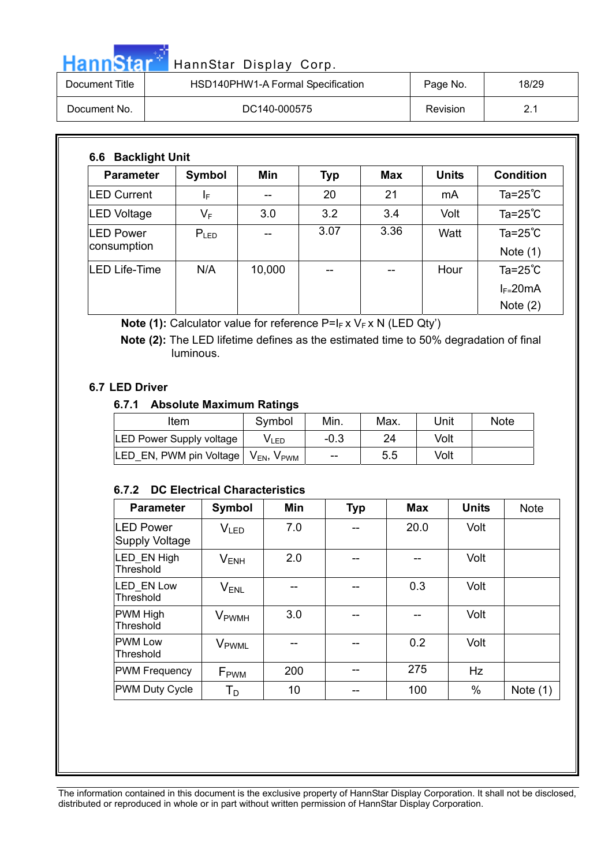|  | HannStar <sup>*</sup> HannStar Display Corp. |  |
|--|----------------------------------------------|--|

| Document Title | HSD140PHW1-A Formal Specification | Page No. | 18/29 |
|----------------|-----------------------------------|----------|-------|
| Document No.   | DC140-000575                      | Revision |       |

| <b>Parameter</b>                | Symbol    | Min    | <b>Typ</b> | <b>Max</b> | <b>Units</b> | <b>Condition</b>                 |
|---------------------------------|-----------|--------|------------|------------|--------------|----------------------------------|
| <b>LED Current</b>              | ΙF        |        | 20         | 21         | mA           | Ta= $25^{\circ}$ C               |
| <b>LED Voltage</b>              | $V_F$     | 3.0    | 3.2        | 3.4        | Volt         | Ta= $25^{\circ}$ C               |
| <b>LED Power</b><br>consumption | $P_{LED}$ |        | 3.07       | 3.36       | Watt         | Ta= $25^{\circ}$ C<br>Note $(1)$ |
| <b>LED Life-Time</b>            | N/A       | 10,000 | --         |            | Hour         | Ta= $25^{\circ}$ C               |
|                                 |           |        |            |            |              | $I_{F=}$ 20mA                    |
|                                 |           |        |            |            |              | Note $(2)$                       |

**Note (1):** Calculator value for reference P=I<sub>F</sub> x V<sub>F</sub> x N (LED Qty')

 **Note (2):** The LED lifetime defines as the estimated time to 50% degradation of final luminous.

#### **6.7 LED Driver**

#### **6.7.1 Absolute Maximum Ratings**

| Item                            | Symbol                                                          | Min.   | Max. | Unit | <b>Note</b> |
|---------------------------------|-----------------------------------------------------------------|--------|------|------|-------------|
| <b>LED Power Supply voltage</b> | VLED                                                            | $-0.3$ | 24   | Volt |             |
| LED EN, PWM pin Voltage         | $\bm{\mathsf{V}}_{\textsf{EN}}, \bm{\mathsf{V}}_{\textsf{PWM}}$ | $-$    | 5.5  | Volt |             |

#### **6.7.2 DC Electrical Characteristics**

| <b>Parameter</b>                   | Symbol                   | Min | <b>Typ</b> | <b>Max</b> | <b>Units</b> | <b>Note</b> |
|------------------------------------|--------------------------|-----|------------|------------|--------------|-------------|
| <b>LED Power</b><br>Supply Voltage | V <sub>LED</sub>         | 7.0 | --         | 20.0       | Volt         |             |
| LED EN High<br>Threshold           | $V_{ENH}$                | 2.0 | --         |            | Volt         |             |
| <b>LED EN Low</b><br>Threshold     | $V_{ENL}$                |     |            | 0.3        | Volt         |             |
| <b>PWM High</b><br>Threshold       | <b>V</b> <sub>PWMH</sub> | 3.0 |            |            | Volt         |             |
| <b>PWM Low</b><br>Threshold        | V <sub>PWML</sub>        |     | --         | 0.2        | Volt         |             |
| <b>PWM Frequency</b>               | F <sub>PWM</sub>         | 200 | --         | 275        | Hz           |             |
| <b>PWM Duty Cycle</b>              | Т <sub>р</sub>           | 10  | --         | 100        | %            | Note $(1)$  |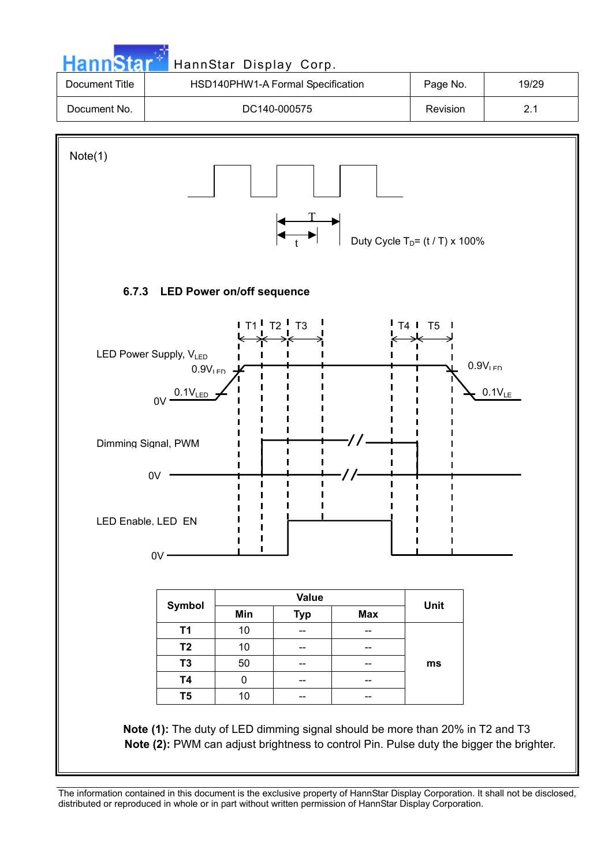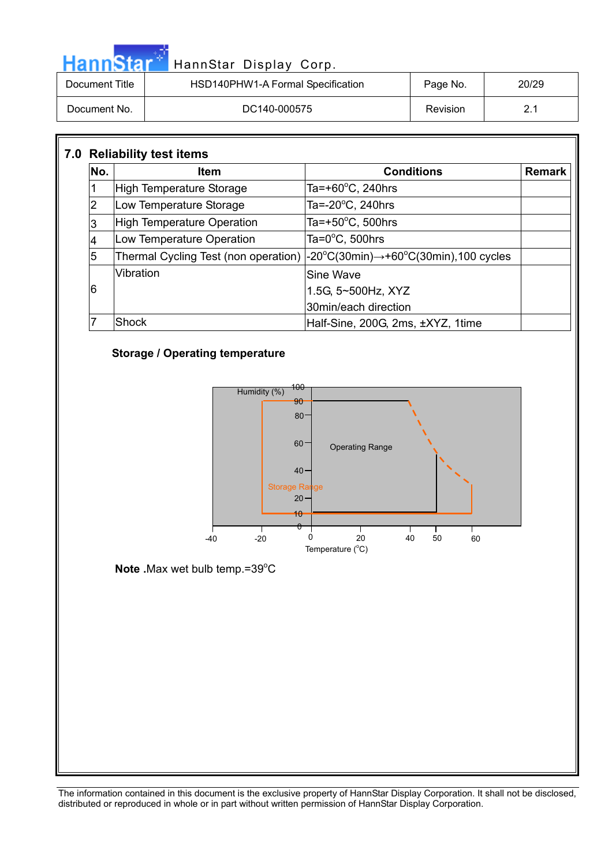| <b>HannStar</b> | HannStar Display Corp.            |          |       |
|-----------------|-----------------------------------|----------|-------|
| Document Title  | HSD140PHW1-A Formal Specification | Page No. | 20/29 |
| Document No.    | DC140-000575                      | Revision | 2.1   |

#### Ī **7.0 Reliability test items No. Item Remark** Remark 1 High Temperature Storage Ta= $+60^{\circ}$ C, 240hrs 2 | Low Temperature Storage Ta=-20 $\mathrm{^{\circ}C}$ , 240hrs 3 High Temperature Operation Ta=+50 $^{\circ}$ C, 500hrs 4 | Low Temperature Operation Ta=0 $^{\circ}$ C, 500hrs 5 | Thermal Cycling Test (non operation)  $C(30min) \rightarrow +60°C(30min)$ ,100 cycles 6 Vibration Sine Wave 1.5G, 5~500Hz, XYZ 30min/each direction 7 Shock Half-Sine, 200G, 2ms, ±XYZ, 1time

#### **Storage / Operating temperature**



Note .Max wet bulb temp.=39°C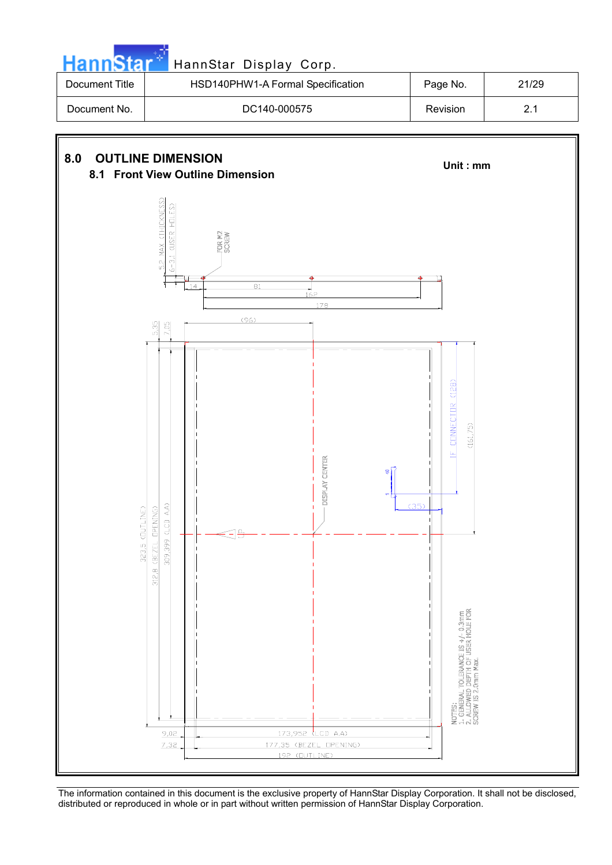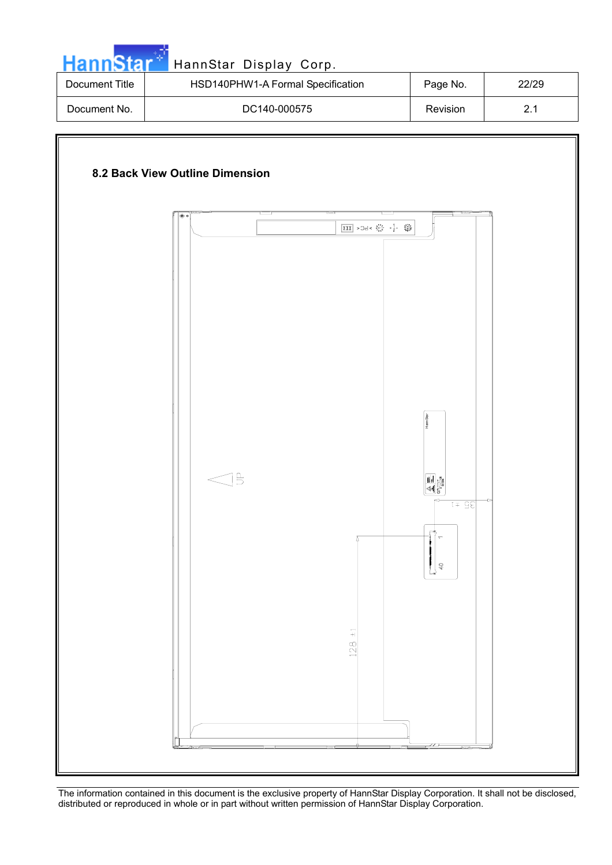| <b>HannStar</b> | HannStar Display Corp.            |          |       |
|-----------------|-----------------------------------|----------|-------|
| Document Title  | HSD140PHW1-A Formal Specification | Page No. | 22/29 |
| Document No.    | DC140-000575                      | Revision | 2.1   |

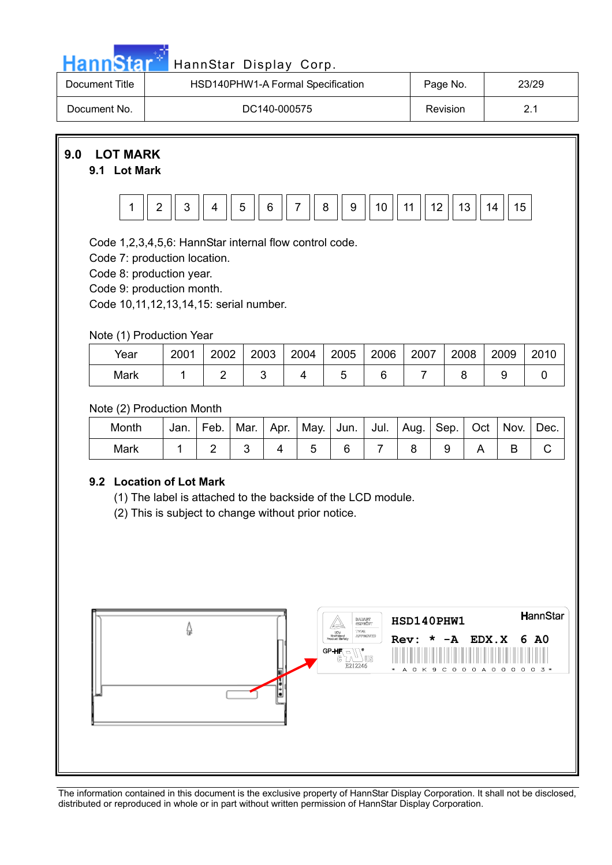![](_page_22_Figure_0.jpeg)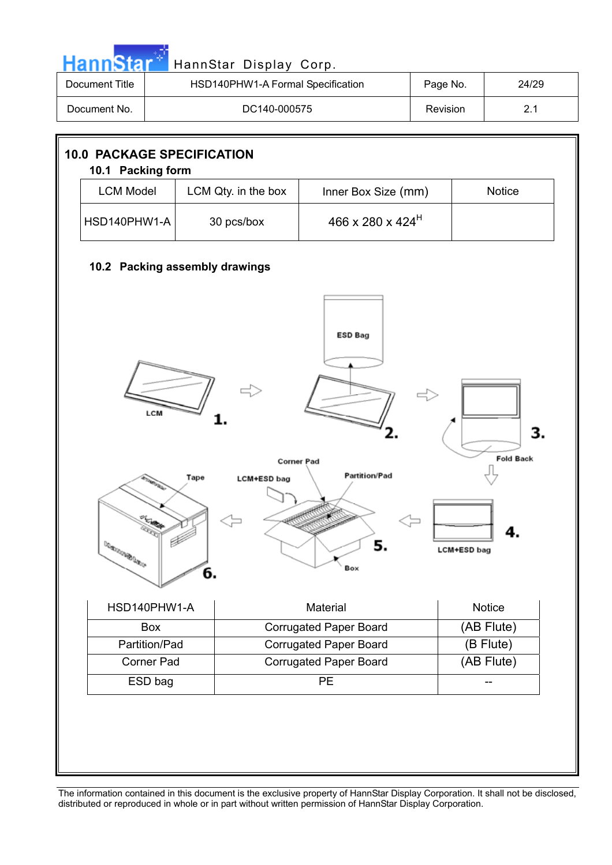|                                                        |                       |                                | HannStar Display Corp.                        |                    |                        |
|--------------------------------------------------------|-----------------------|--------------------------------|-----------------------------------------------|--------------------|------------------------|
| <b>Document Title</b>                                  |                       |                                | HSD140PHW1-A Formal Specification<br>Page No. |                    | 24/29                  |
| Document No.                                           | DC140-000575          |                                | Revision                                      | 2.1                |                        |
| <b>10.0 PACKAGE SPECIFICATION</b><br>10.1 Packing form |                       |                                |                                               |                    |                        |
| <b>LCM Model</b>                                       |                       | LCM Qty. in the box            | Inner Box Size (mm)                           |                    | <b>Notice</b>          |
| HSD140PHW1-A                                           |                       | 30 pcs/box                     | 466 x 280 x 424 <sup>H</sup>                  |                    |                        |
|                                                        |                       | 10.2 Packing assembly drawings |                                               |                    |                        |
|                                                        | LCM                   |                                |                                               |                    |                        |
|                                                        |                       | Tape<br><b>LCM+ESD bag</b>     | <b>Corner Pad</b><br><b>Partition/Pad</b>     |                    | 3.<br><b>Fold Back</b> |
| <b>DO BUILDING OF THE OUT</b>                          |                       | 6.                             | 5.<br>Box                                     | <b>LCM+ESD bag</b> |                        |
|                                                        | HSD140PHW1-A          |                                | Material                                      |                    | Notice                 |
|                                                        | Box                   |                                | <b>Corrugated Paper Board</b>                 |                    | (AB Flute)             |
|                                                        | Partition/Pad         |                                | <b>Corrugated Paper Board</b>                 |                    | $(B$ Flute)            |
|                                                        | Corner Pad<br>ESD bag |                                | <b>Corrugated Paper Board</b><br><b>PE</b>    |                    | (AB Flute)<br>--       |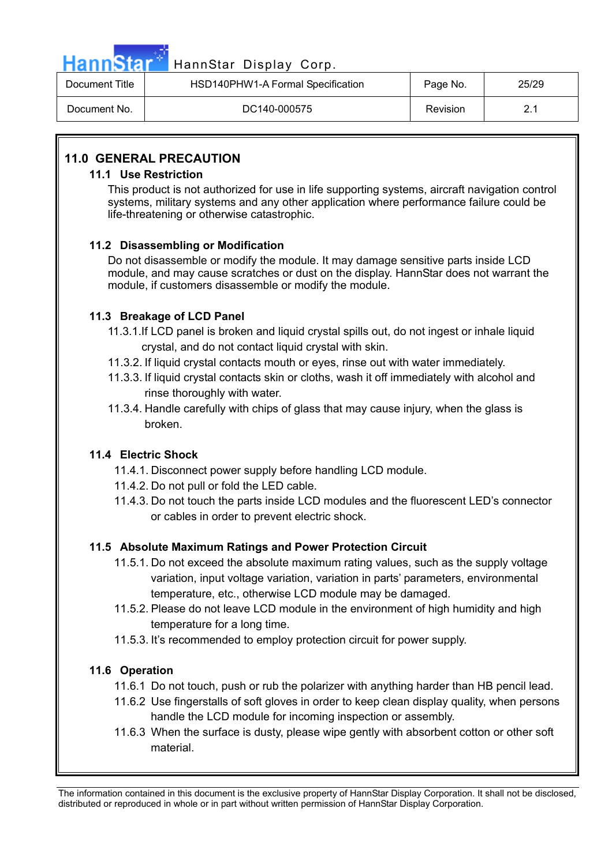![](_page_24_Picture_0.jpeg)

| Document Title | HSD140PHW1-A Formal Specification | Page No. | 25/29 |
|----------------|-----------------------------------|----------|-------|
| Document No.   | DC140-000575                      | Revision |       |

#### **11.0 GENERAL PRECAUTION**

#### **11.1 Use Restriction**

This product is not authorized for use in life supporting systems, aircraft navigation control systems, military systems and any other application where performance failure could be life-threatening or otherwise catastrophic.

#### **11.2 Disassembling or Modification**

Do not disassemble or modify the module. It may damage sensitive parts inside LCD module, and may cause scratches or dust on the display. HannStar does not warrant the module, if customers disassemble or modify the module.

#### **11.3 Breakage of LCD Panel**

- 11.3.1.If LCD panel is broken and liquid crystal spills out, do not ingest or inhale liquid crystal, and do not contact liquid crystal with skin.
- 11.3.2. If liquid crystal contacts mouth or eyes, rinse out with water immediately.
- 11.3.3. If liquid crystal contacts skin or cloths, wash it off immediately with alcohol and rinse thoroughly with water.
- 11.3.4. Handle carefully with chips of glass that may cause injury, when the glass is broken.

#### **11.4 Electric Shock**

- 11.4.1. Disconnect power supply before handling LCD module.
- 11.4.2. Do not pull or fold the LED cable.
- 11.4.3. Do not touch the parts inside LCD modules and the fluorescent LED's connector or cables in order to prevent electric shock.

#### **11.5 Absolute Maximum Ratings and Power Protection Circuit**

- 11.5.1. Do not exceed the absolute maximum rating values, such as the supply voltage variation, input voltage variation, variation in parts' parameters, environmental temperature, etc., otherwise LCD module may be damaged.
- 11.5.2. Please do not leave LCD module in the environment of high humidity and high temperature for a long time.
- 11.5.3. It's recommended to employ protection circuit for power supply.

#### **11.6 Operation**

- 11.6.1 Do not touch, push or rub the polarizer with anything harder than HB pencil lead.
- 11.6.2 Use fingerstalls of soft gloves in order to keep clean display quality, when persons handle the LCD module for incoming inspection or assembly.
- 11.6.3 When the surface is dusty, please wipe gently with absorbent cotton or other soft material.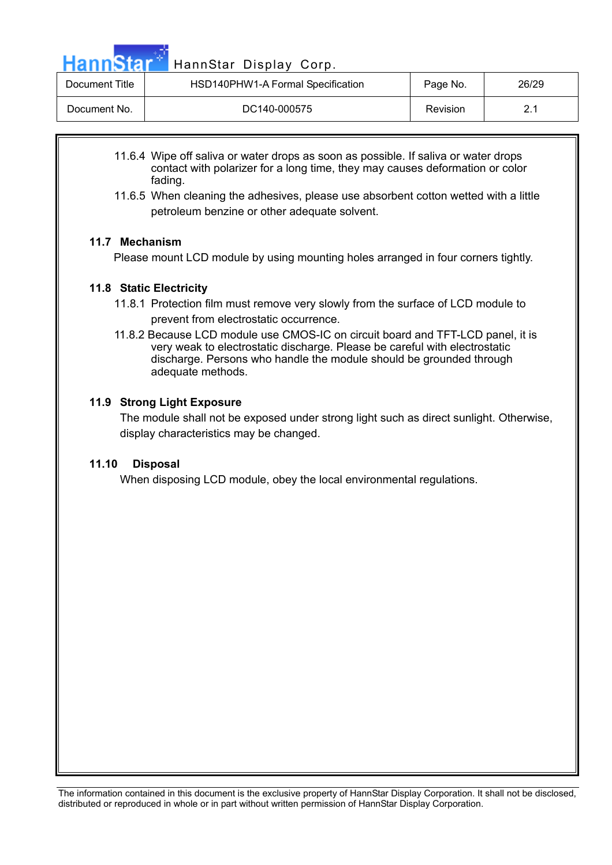HannStar<sup>t H</sup>annStar Display Corp.

| Document Title | HSD140PHW1-A Formal Specification | Page No. | 26/29 |
|----------------|-----------------------------------|----------|-------|
| Document No.   | DC140-000575                      | Revision |       |

- 11.6.4 Wipe off saliva or water drops as soon as possible. If saliva or water drops contact with polarizer for a long time, they may causes deformation or color fading.
- 11.6.5 When cleaning the adhesives, please use absorbent cotton wetted with a little petroleum benzine or other adequate solvent.

#### **11.7 Mechanism**

Please mount LCD module by using mounting holes arranged in four corners tightly.

#### **11.8 Static Electricity**

- 11.8.1 Protection film must remove very slowly from the surface of LCD module to prevent from electrostatic occurrence.
- 11.8.2 Because LCD module use CMOS-IC on circuit board and TFT-LCD panel, it is very weak to electrostatic discharge. Please be careful with electrostatic discharge. Persons who handle the module should be grounded through adequate methods.

#### **11.9 Strong Light Exposure**

The module shall not be exposed under strong light such as direct sunlight. Otherwise, display characteristics may be changed.

#### **11.10 Disposal**

When disposing LCD module, obey the local environmental regulations.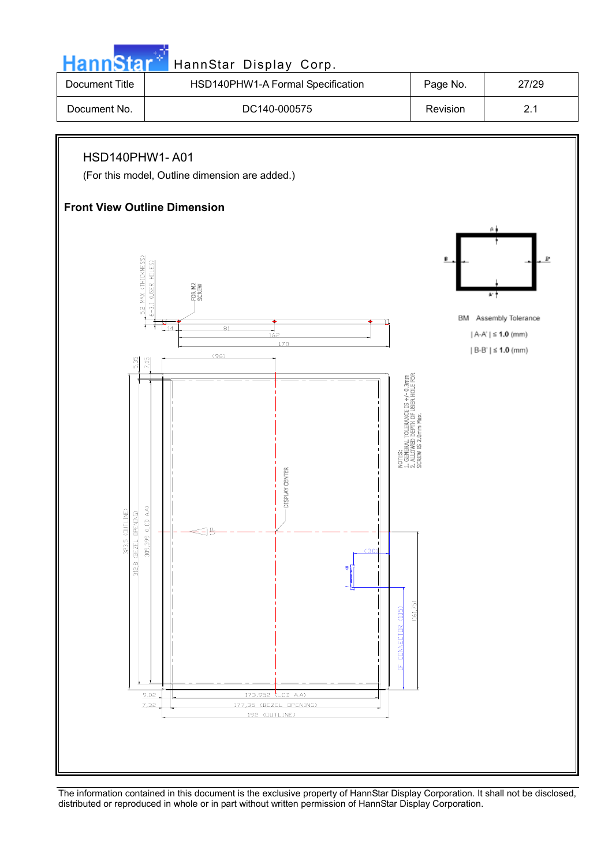![](_page_26_Figure_0.jpeg)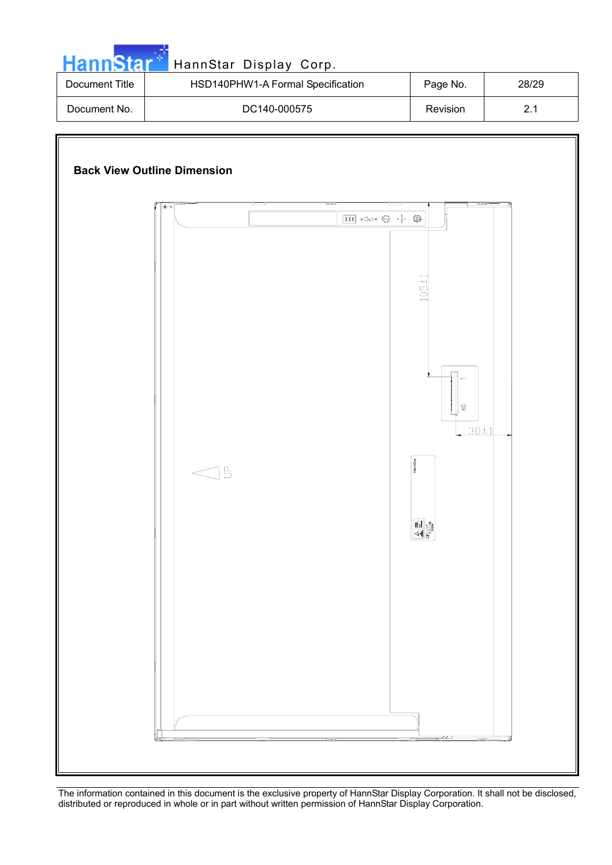| HannStar <sup>®</sup> | HannStar Display Corp.            |          |       |
|-----------------------|-----------------------------------|----------|-------|
| Document Title        | HSD140PHW1-A Formal Specification | Page No. | 28/29 |
| Document No.          | DC140-000575                      | Revision |       |

![](_page_27_Figure_1.jpeg)